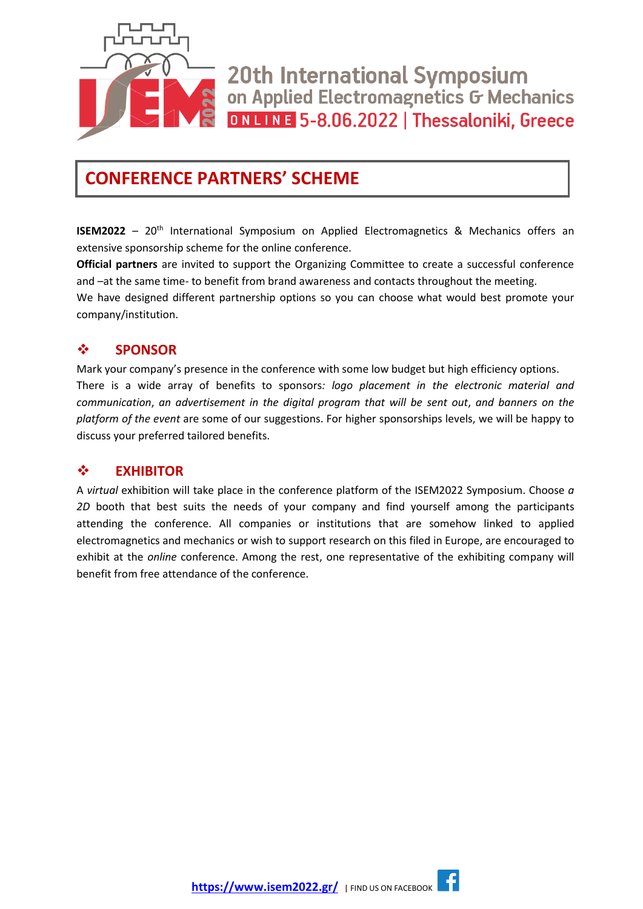

20th International Symposium on Applied Electromagnetics G Mechanics ONLINE 5-8.06.2022 | Thessaloniki, Greece

## **CONFERENCE PARTNERS' SCHEME**

**ISEM2022** - 20<sup>th</sup> International Symposium on Applied Electromagnetics & Mechanics offers an extensive sponsorship scheme for the online conference.

**Official partners** are invited to support the Organizing Committee to create a successful conference and –at the same time- to benefit from brand awareness and contacts throughout the meeting. We have designed different partnership options so you can choose what would best promote your company/institution.

### ❖ **SPONSOR**

Mark your company's presence in the conference with some low budget but high efficiency options. There is a wide array of benefits to sponsors*: logo placement in the electronic material and communication*, *an advertisement in the digital program that will be sent out*, *and banners on the platform of the event* are some of our suggestions. For higher sponsorships levels, we will be happy to discuss your preferred tailored benefits.

### ❖ **EXHIBITOR**

A *virtual* exhibition will take place in the conference platform of the ISEM2022 Symposium. Choose *a 2D* booth that best suits the needs of your company and find yourself among the participants attending the conference. All companies or institutions that are somehow linked to applied electromagnetics and mechanics or wish to support research on this filed in Europe, are encouraged to exhibit at the *online* conference. Among the rest, one representative of the exhibiting company will benefit from free attendance of the conference.

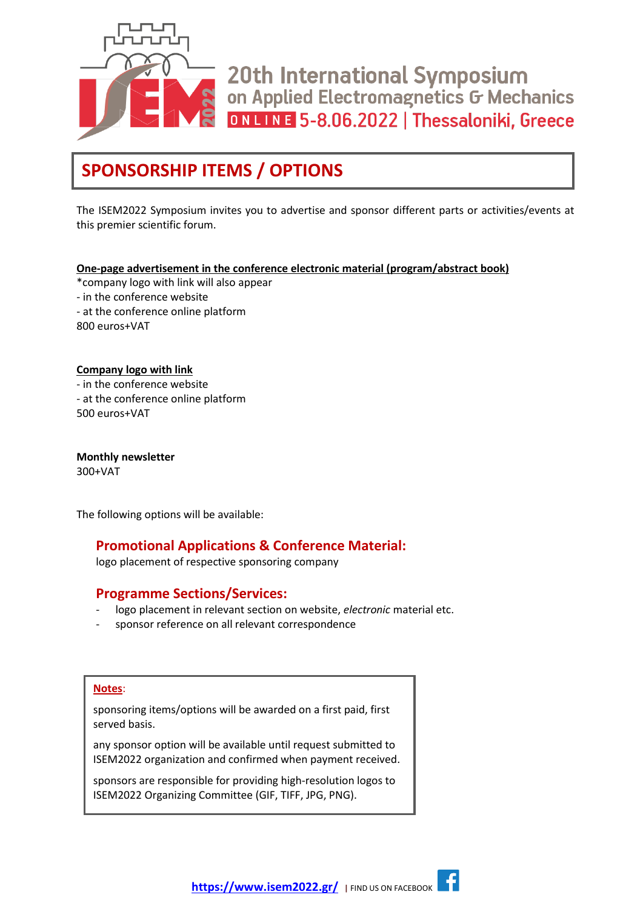

20th International Symposium on Applied Electromagnetics G Mechanics ONLINE 5-8.06.2022 | Thessaloniki, Greece

## **SPONSORSHIP ITEMS / OPTIONS**

The ISEM2022 Symposium invites you to advertise and sponsor different parts or activities/events at this premier scientific forum.

#### **One-page advertisement in the conference electronic material (program/abstract book)**

- \*company logo with link will also appear
- in the conference website
- at the conference online platform

800 euros+VAT

#### **Company logo with link**

- in the conference website
- at the conference online platform

500 euros+VAT

**Monthly newsletter** 300+VAT

The following options will be available:

### **Promotional Applications & Conference Material:**

logo placement of respective sponsoring company

### **Programme Sections/Services:**

- logo placement in relevant section on website, *electronic* material etc.
- sponsor reference on all relevant correspondence

#### **Notes**:

sponsoring items/options will be awarded on a first paid, first served basis.

any sponsor option will be available until request submitted to ISEM2022 organization and confirmed when payment received.

sponsors are responsible for providing high-resolution logos to ISEM2022 Organizing Committee (GIF, TIFF, JPG, PNG).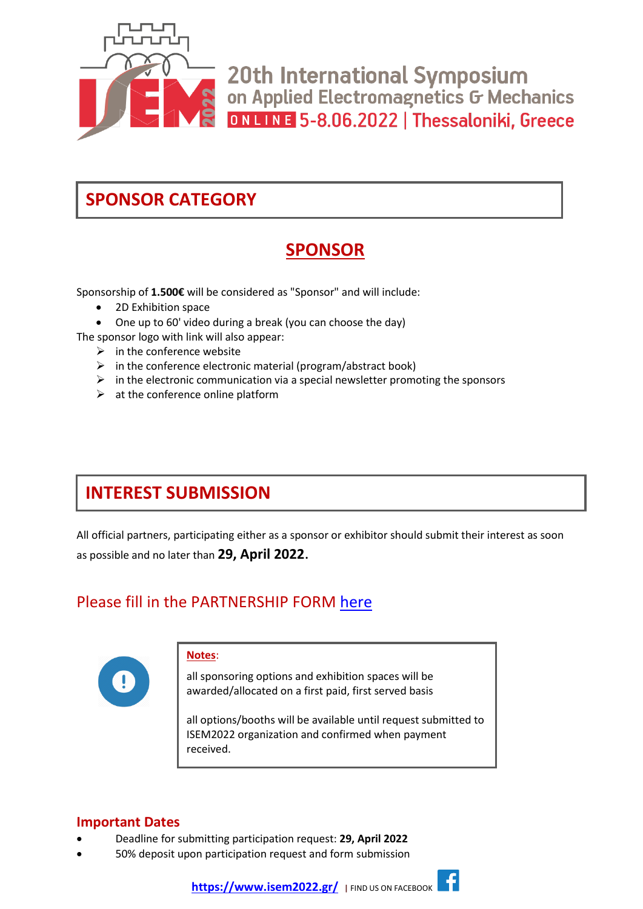

20th International Symposium on Applied Electromagnetics G Mechanics ONLINE 5-8.06.2022 | Thessaloniki, Greece

## **SPONSOR CATEGORY**

## **SPONSOR**

Sponsorship of **1.500€** will be considered as "Sponsor" and will include:

- 2D Exhibition space
- One up to 60' video during a break (you can choose the day)
- The sponsor logo with link will also appear:
	- $\triangleright$  in the conference website
	- $\triangleright$  in the conference electronic material (program/abstract book)
	- $\triangleright$  in the electronic communication via a special newsletter promoting the sponsors
	- $\triangleright$  at the conference online platform

## **INTEREST SUBMISSION**

All official partners, participating either as a sponsor or exhibitor should submit their interest as soon as possible and no later than **29, April 2022**.

### Please fill in the PARTNERSHIP FORM [here](https://docs.google.com/forms/d/e/1FAIpQLScuaW0EIeMy_IOeXz4VQPEM3khO4y5wsv25OKwRwi97hb27jA/viewform)



#### **Notes**:

all sponsoring options and exhibition spaces will be awarded/allocated on a first paid, first served basis

all options/booths will be available until request submitted to ISEM2022 organization and confirmed when payment received.

### **Important Dates**

- Deadline for submitting participation request: **29, April 2022**
- 50% deposit upon participation request and form submission